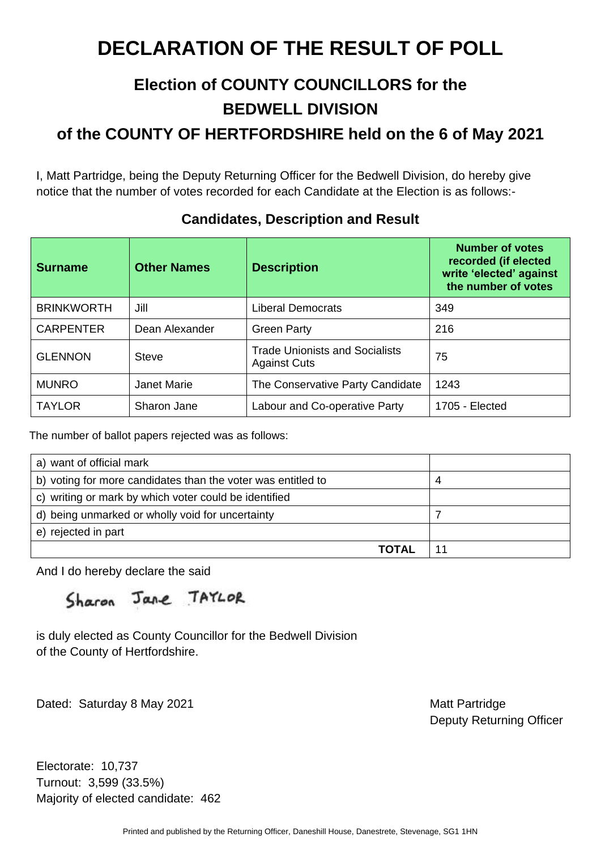### **Election of COUNTY COUNCILLORS for the BEDWELL DIVISION**

**of the COUNTY OF HERTFORDSHIRE held on the 6 of May 2021** 

I, Matt Partridge, being the Deputy Returning Officer for the Bedwell Division, do hereby give notice that the number of votes recorded for each Candidate at the Election is as follows:-

| <b>Surname</b>    | <b>Other Names</b> | <b>Description</b>                                           | <b>Number of votes</b><br>recorded (if elected<br>write 'elected' against<br>the number of votes |
|-------------------|--------------------|--------------------------------------------------------------|--------------------------------------------------------------------------------------------------|
| <b>BRINKWORTH</b> | Jill               | <b>Liberal Democrats</b>                                     | 349                                                                                              |
| <b>CARPENTER</b>  | Dean Alexander     | <b>Green Party</b>                                           | 216                                                                                              |
| <b>GLENNON</b>    | <b>Steve</b>       | <b>Trade Unionists and Socialists</b><br><b>Against Cuts</b> | 75                                                                                               |
| <b>MUNRO</b>      | <b>Janet Marie</b> | The Conservative Party Candidate                             | 1243                                                                                             |
| <b>TAYLOR</b>     | Sharon Jane        | Labour and Co-operative Party                                | 1705 - Elected                                                                                   |

#### **Candidates, Description and Result**

The number of ballot papers rejected was as follows:

| a) want of official mark                                     |  |
|--------------------------------------------------------------|--|
| b) voting for more candidates than the voter was entitled to |  |
| c) writing or mark by which voter could be identified        |  |
| d) being unmarked or wholly void for uncertainty             |  |
| e) rejected in part                                          |  |
| TOTAL                                                        |  |

And I do hereby declare the said

Sharon Jane TAYLOR

is duly elected as County Councillor for the Bedwell Division of the County of Hertfordshire.

Dated: Saturday 8 May 2021 Matt Partridge

Deputy Returning Officer

Electorate: 10,737 Turnout: 3,599 (33.5%) Majority of elected candidate: 462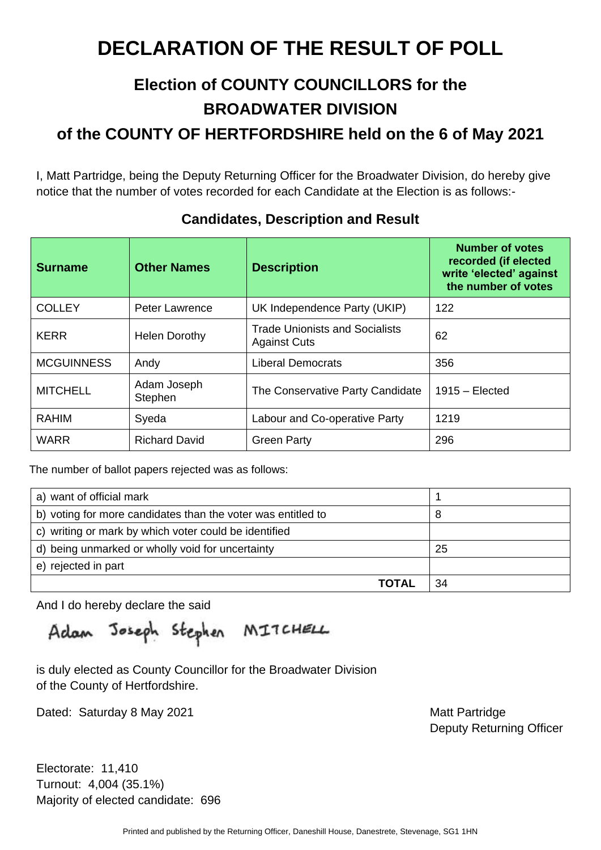# **Election of COUNTY COUNCILLORS for the BROADWATER DIVISION**

**of the COUNTY OF HERTFORDSHIRE held on the 6 of May 2021** 

I, Matt Partridge, being the Deputy Returning Officer for the Broadwater Division, do hereby give notice that the number of votes recorded for each Candidate at the Election is as follows:-

| <b>Surname</b>    | <b>Other Names</b>     | <b>Description</b>                                    | <b>Number of votes</b><br>recorded (if elected<br>write 'elected' against<br>the number of votes |
|-------------------|------------------------|-------------------------------------------------------|--------------------------------------------------------------------------------------------------|
| <b>COLLEY</b>     | <b>Peter Lawrence</b>  | UK Independence Party (UKIP)                          | 122                                                                                              |
| <b>KERR</b>       | <b>Helen Dorothy</b>   | Trade Unionists and Socialists<br><b>Against Cuts</b> | 62                                                                                               |
| <b>MCGUINNESS</b> | Andy                   | <b>Liberal Democrats</b>                              | 356                                                                                              |
| <b>MITCHELL</b>   | Adam Joseph<br>Stephen | The Conservative Party Candidate                      | $1915 - Elected$                                                                                 |
| <b>RAHIM</b>      | Syeda                  | Labour and Co-operative Party                         | 1219                                                                                             |
| <b>WARR</b>       | <b>Richard David</b>   | <b>Green Party</b>                                    | 296                                                                                              |

#### **Candidates, Description and Result**

The number of ballot papers rejected was as follows:

| a) want of official mark                                     |    |
|--------------------------------------------------------------|----|
| b) voting for more candidates than the voter was entitled to |    |
| c) writing or mark by which voter could be identified        |    |
| d) being unmarked or wholly void for uncertainty             | 25 |
| e) rejected in part                                          |    |
| ΤΩΤΑΙ                                                        | 34 |

And I do hereby declare the said

Adam Joseph Stephen MITCHELL

is duly elected as County Councillor for the Broadwater Division of the County of Hertfordshire.

Dated: Saturday 8 May 2021 Matt Partridge

Deputy Returning Officer

Electorate: 11,410 Turnout: 4,004 (35.1%) Majority of elected candidate: 696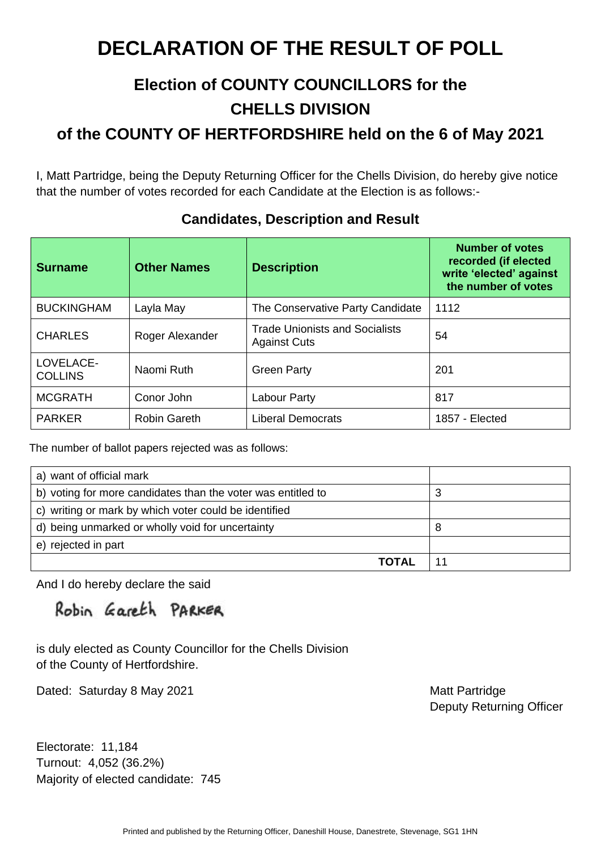### **Election of COUNTY COUNCILLORS for the CHELLS DIVISION**

**of the COUNTY OF HERTFORDSHIRE held on the 6 of May 2021** 

I, Matt Partridge, being the Deputy Returning Officer for the Chells Division, do hereby give notice that the number of votes recorded for each Candidate at the Election is as follows:-

| <b>Surname</b>              | <b>Other Names</b>  | <b>Description</b>                                           | <b>Number of votes</b><br>recorded (if elected<br>write 'elected' against<br>the number of votes |
|-----------------------------|---------------------|--------------------------------------------------------------|--------------------------------------------------------------------------------------------------|
| <b>BUCKINGHAM</b>           | Layla May           | The Conservative Party Candidate                             | 1112                                                                                             |
| <b>CHARLES</b>              | Roger Alexander     | <b>Trade Unionists and Socialists</b><br><b>Against Cuts</b> | 54                                                                                               |
| LOVELACE-<br><b>COLLINS</b> | Naomi Ruth          | <b>Green Party</b>                                           | 201                                                                                              |
| <b>MCGRATH</b>              | Conor John          | <b>Labour Party</b>                                          | 817                                                                                              |
| <b>PARKER</b>               | <b>Robin Gareth</b> | <b>Liberal Democrats</b>                                     | 1857 - Elected                                                                                   |

#### **Candidates, Description and Result**

The number of ballot papers rejected was as follows:

| a) want of official mark                                     |   |
|--------------------------------------------------------------|---|
| b) voting for more candidates than the voter was entitled to | З |
| c) writing or mark by which voter could be identified        |   |
| d) being unmarked or wholly void for uncertainty             | 8 |
| e) rejected in part                                          |   |
| <b>TOTAL</b>                                                 |   |

And I do hereby declare the said

Robin Gareth PARKER

is duly elected as County Councillor for the Chells Division of the County of Hertfordshire.

Dated: Saturday 8 May 2021 Matt Partridge

Deputy Returning Officer

Electorate: 11,184 Turnout: 4,052 (36.2%) Majority of elected candidate: 745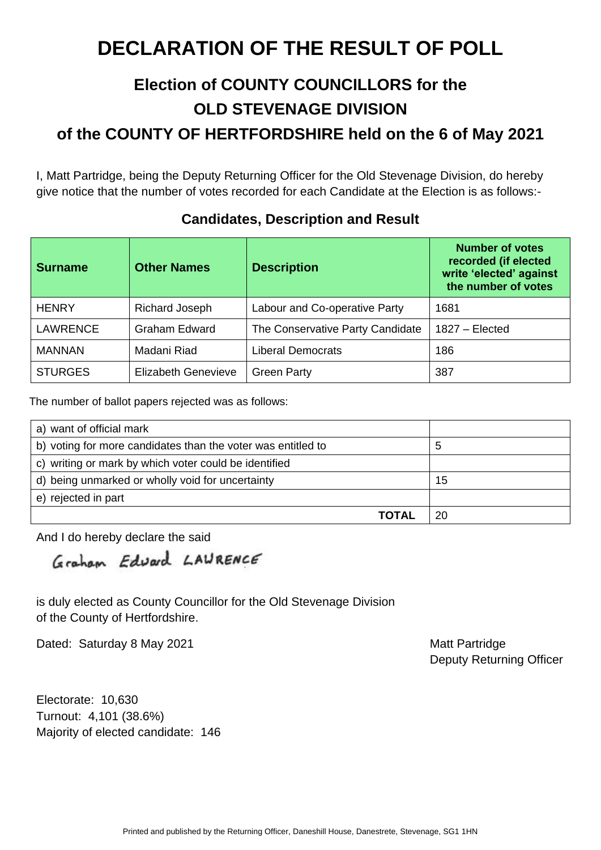### **Election of COUNTY COUNCILLORS for the OLD STEVENAGE DIVISION of the COUNTY OF HERTFORDSHIRE held on the 6 of May 2021**

I, Matt Partridge, being the Deputy Returning Officer for the Old Stevenage Division, do hereby give notice that the number of votes recorded for each Candidate at the Election is as follows:-

| <b>Surname</b>  | <b>Other Names</b>         | <b>Description</b>               | <b>Number of votes</b><br>recorded (if elected<br>write 'elected' against<br>the number of votes |
|-----------------|----------------------------|----------------------------------|--------------------------------------------------------------------------------------------------|
| <b>HENRY</b>    | Richard Joseph             | Labour and Co-operative Party    | 1681                                                                                             |
| <b>LAWRENCE</b> | <b>Graham Edward</b>       | The Conservative Party Candidate | $1827 - Elected$                                                                                 |
| <b>MANNAN</b>   | Madani Riad                | <b>Liberal Democrats</b>         | 186                                                                                              |
| <b>STURGES</b>  | <b>Elizabeth Genevieve</b> | <b>Green Party</b>               | 387                                                                                              |

#### **Candidates, Description and Result**

The number of ballot papers rejected was as follows:

| a) want of official mark                                     |    |
|--------------------------------------------------------------|----|
| b) voting for more candidates than the voter was entitled to | b  |
| c) writing or mark by which voter could be identified        |    |
| d) being unmarked or wholly void for uncertainty             | 15 |
| e) rejected in part                                          |    |
| TOTAL                                                        | 20 |

And I do hereby declare the said

Graham Edward LAURENCE

is duly elected as County Councillor for the Old Stevenage Division of the County of Hertfordshire.

Dated: Saturday 8 May 2021 Matt Partridge

Deputy Returning Officer

Electorate: 10,630 Turnout: 4,101 (38.6%) Majority of elected candidate: 146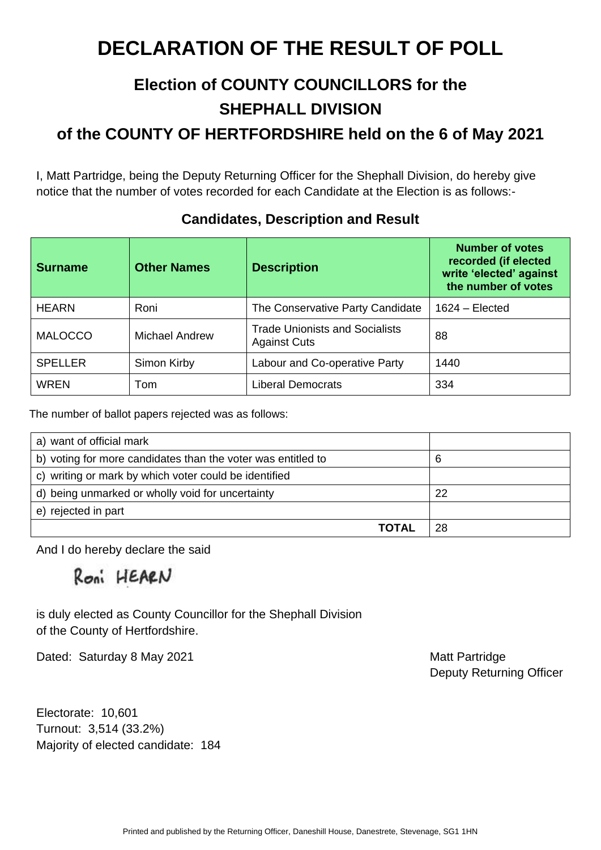### **Election of COUNTY COUNCILLORS for the SHEPHALL DIVISION**

**of the COUNTY OF HERTFORDSHIRE held on the 6 of May 2021** 

I, Matt Partridge, being the Deputy Returning Officer for the Shephall Division, do hereby give notice that the number of votes recorded for each Candidate at the Election is as follows:-

| <b>Surname</b> | <b>Other Names</b> | <b>Description</b>                                           | <b>Number of votes</b><br>recorded (if elected<br>write 'elected' against<br>the number of votes |
|----------------|--------------------|--------------------------------------------------------------|--------------------------------------------------------------------------------------------------|
| <b>HEARN</b>   | Roni               | The Conservative Party Candidate                             | $1624 - Elected$                                                                                 |
| <b>MALOCCO</b> | Michael Andrew     | <b>Trade Unionists and Socialists</b><br><b>Against Cuts</b> | 88                                                                                               |
| <b>SPELLER</b> | Simon Kirby        | Labour and Co-operative Party                                | 1440                                                                                             |
| <b>WREN</b>    | Tom                | <b>Liberal Democrats</b>                                     | 334                                                                                              |

### **Candidates, Description and Result**

The number of ballot papers rejected was as follows:

| a) want of official mark                                     |    |
|--------------------------------------------------------------|----|
| b) voting for more candidates than the voter was entitled to | 6  |
| c) writing or mark by which voter could be identified        |    |
| d) being unmarked or wholly void for uncertainty             | 22 |
| e) rejected in part                                          |    |
| ΤΩΤΑΙ                                                        | 28 |

And I do hereby declare the said

Roni HEARN

is duly elected as County Councillor for the Shephall Division of the County of Hertfordshire.

Dated: Saturday 8 May 2021 Matt Partridge

Deputy Returning Officer

Electorate: 10,601 Turnout: 3,514 (33.2%) Majority of elected candidate: 184